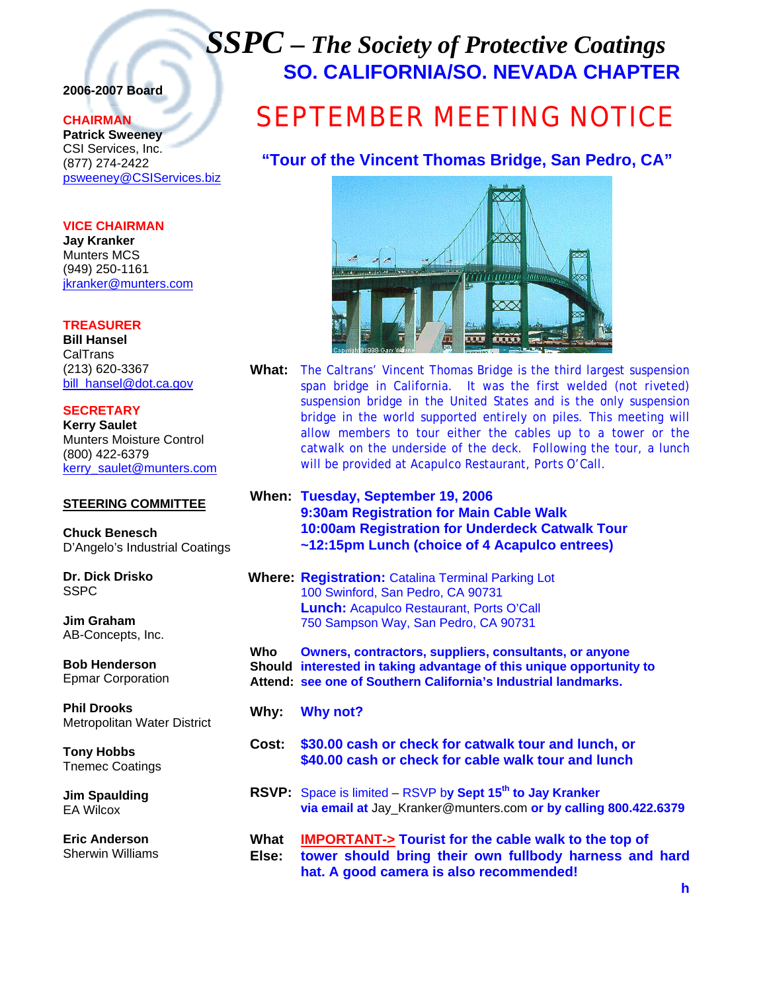## *SSPC – The Society of Protective Coatings* **SO. CALIFORNIA/SO. NEVADA CHAPTER**

### **2006-2007 Board**

#### **CHAIRMAN**

**Patrick Sweeney** CSI Services, Inc. (877) 274-2422 psweeney@CSIServices.biz

#### **VICE CHAIRMAN**

**Jay Kranker** Munters MCS (949) 250-1161 jkranker@munters.com

#### **TREASURER**

**Bill Hansel** CalTrans (213) 620-3367 bill\_hansel@dot.ca.gov

**SECRETARY Kerry Saulet** Munters Moisture Control (800) 422-6379

#### **STEERING COMMITTEE**

kerry\_saulet@munters.com

**Chuck Benesch**  D'Angelo's Industrial Coatings

**Dr. Dick Drisko**  SSPC

**Jim Graham**  AB-Concepts, Inc.

**Bob Henderson**  Epmar Corporation

**Phil Drooks**  Metropolitan Water District

**Tony Hobbs**  Tnemec Coatings

**Jim Spaulding**  EA Wilcox

**Eric Anderson**  Sherwin Williams

# SEPTEMBER MEETING NOTICE

**"Tour of the Vincent Thomas Bridge, San Pedro, CA"**



- **What:** The Caltrans' Vincent Thomas Bridge is the third largest suspension span bridge in California. It was the first welded (not riveted) suspension bridge in the United States and is the only suspension bridge in the world supported entirely on piles. This meeting will allow members to tour either the cables up to a tower or the catwalk on the underside of the deck. Following the tour, a lunch will be provided at Acapulco Restaurant, Ports O'Call.
- **When: Tuesday, September 19, 2006 9:30am Registration for Main Cable Walk 10:00am Registration for Underdeck Catwalk Tour ~12:15pm Lunch (choice of 4 Acapulco entrees)**

 **Where: Registration:** Catalina Terminal Parking Lot 100 Swinford, San Pedro, CA 90731 **Lunch:** Acapulco Restaurant, Ports O'Call 750 Sampson Way, San Pedro, CA 90731

**Who Owners, contractors, suppliers, consultants, or anyone Should interested in taking advantage of this unique opportunity to Attend: see one of Southern California's Industrial landmarks.** 

- **Why: Why not?**
- **Cost: \$30.00 cash or check for catwalk tour and lunch, or \$40.00 cash or check for cable walk tour and lunch**
- **RSVP:** Space is limited RSVP b**y Sept 15th to Jay Kranker via email at** Jay\_Kranker@munters.com **or by calling 800.422.6379**
- **What IMPORTANT-> Tourist for the cable walk to the top of Else: tower should bring their own fullbody harness and hard hat. A good camera is also recommended!**